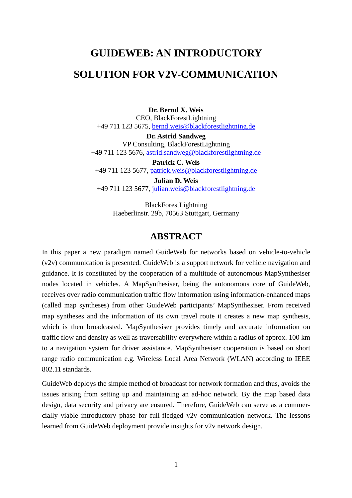# **GUIDEWEB: AN INTRODUCTORY**

## **SOLUTION FOR V2V-COMMUNICATION**

**Dr. Bernd X. Weis** CEO, BlackForestLightning +49 711 123 5675, bernd.weis@blackforestlightning.de

**Dr. Astrid Sandweg** VP Consulting, BlackForestLightning +49 711 123 5676, astrid.sandweg@blackforestlightning.de

**Patrick C. Weis**  +49 711 123 5677, patrick.weis@blackforestlightning.de

**Julian D. Weis**  +49 711 123 5677, julian.weis@blackforestlightning.de

> BlackForestLightning Haeberlinstr. 29b, 70563 Stuttgart, Germany

## **ABSTRACT**

In this paper a new paradigm named GuideWeb for networks based on vehicle-to-vehicle (v2v) communication is presented. GuideWeb is a support network for vehicle navigation and guidance. It is constituted by the cooperation of a multitude of autonomous MapSynthesiser nodes located in vehicles. A MapSynthesiser, being the autonomous core of GuideWeb, receives over radio communication traffic flow information using information-enhanced maps (called map syntheses) from other GuideWeb participants' MapSynthesiser. From received map syntheses and the information of its own travel route it creates a new map synthesis, which is then broadcasted. MapSynthesiser provides timely and accurate information on traffic flow and density as well as traversability everywhere within a radius of approx. 100 km to a navigation system for driver assistance. MapSynthesiser cooperation is based on short range radio communication e.g. Wireless Local Area Network (WLAN) according to IEEE 802.11 standards.

GuideWeb deploys the simple method of broadcast for network formation and thus, avoids the issues arising from setting up and maintaining an ad-hoc network. By the map based data design, data security and privacy are ensured. Therefore, GuideWeb can serve as a commercially viable introductory phase for full-fledged v2v communication network. The lessons learned from GuideWeb deployment provide insights for v2v network design.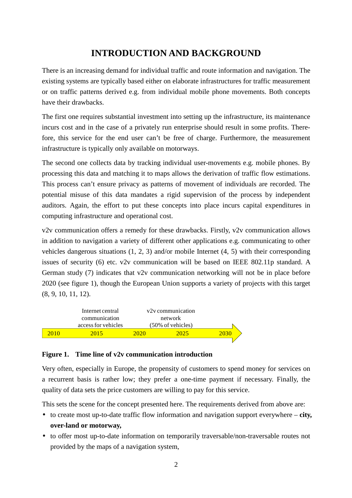# **INTRODUCTION AND BACKGROUND**

There is an increasing demand for individual traffic and route information and navigation. The existing systems are typically based either on elaborate infrastructures for traffic measurement or on traffic patterns derived e.g. from individual mobile phone movements. Both concepts have their drawbacks.

The first one requires substantial investment into setting up the infrastructure, its maintenance incurs cost and in the case of a privately run enterprise should result in some profits. Therefore, this service for the end user can't be free of charge. Furthermore, the measurement infrastructure is typically only available on motorways.

The second one collects data by tracking individual user-movements e.g. mobile phones. By processing this data and matching it to maps allows the derivation of traffic flow estimations. This process can't ensure privacy as patterns of movement of individuals are recorded. The potential misuse of this data mandates a rigid supervision of the process by independent auditors. Again, the effort to put these concepts into place incurs capital expenditures in computing infrastructure and operational cost.

v2v communication offers a remedy for these drawbacks. Firstly, v2v communication allows in addition to navigation a variety of different other applications e.g. communicating to other vehicles dangerous situations (1, 2, 3) and/or mobile Internet (4, 5) with their corresponding issues of security (6) etc. v2v communication will be based on IEEE 802.11p standard. A German study (7) indicates that v2v communication networking will not be in place before 2020 (see figure 1), though the European Union supports a variety of projects with this target (8, 9, 10, 11, 12).



### **Figure 1. Time line of v2v communication introduction**

Very often, especially in Europe, the propensity of customers to spend money for services on a recurrent basis is rather low; they prefer a one-time payment if necessary. Finally, the quality of data sets the price customers are willing to pay for this service.

This sets the scene for the concept presented here. The requirements derived from above are:

- to create most up-to-date traffic flow information and navigation support everywhere **city, over-land or motorway,**
- to offer most up-to-date information on temporarily traversable/non-traversable routes not provided by the maps of a navigation system,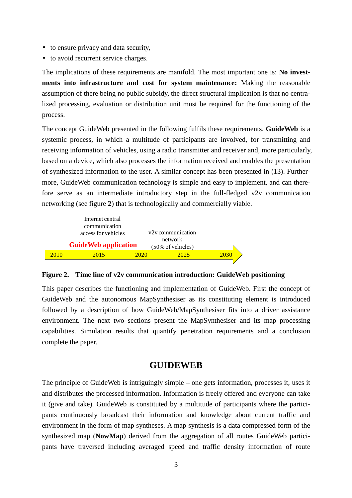- to ensure privacy and data security,
- to avoid recurrent service charges.

The implications of these requirements are manifold. The most important one is: **No investments into infrastructure and cost for system maintenance:** Making the reasonable assumption of there being no public subsidy, the direct structural implication is that no centralized processing, evaluation or distribution unit must be required for the functioning of the process.

The concept GuideWeb presented in the following fulfils these requirements. **GuideWeb** is a systemic process, in which a multitude of participants are involved, for transmitting and receiving information of vehicles, using a radio transmitter and receiver and, more particularly, based on a device, which also processes the information received and enables the presentation of synthesized information to the user. A similar concept has been presented in (13). Furthermore, GuideWeb communication technology is simple and easy to implement, and can therefore serve as an intermediate introductory step in the full-fledged v2v communication networking (see figure **2**) that is technologically and commercially viable.



#### **Figure 2. Time line of v2v communication introduction: GuideWeb positioning**

This paper describes the functioning and implementation of GuideWeb. First the concept of GuideWeb and the autonomous MapSynthesiser as its constituting element is introduced followed by a description of how GuideWeb/MapSynthesiser fits into a driver assistance environment. The next two sections present the MapSynthesiser and its map processing capabilities. Simulation results that quantify penetration requirements and a conclusion complete the paper.

### **GUIDEWEB**

The principle of GuideWeb is intriguingly simple – one gets information, processes it, uses it and distributes the processed information. Information is freely offered and everyone can take it (give and take). GuideWeb is constituted by a multitude of participants where the participants continuously broadcast their information and knowledge about current traffic and environment in the form of map syntheses. A map synthesis is a data compressed form of the synthesized map (**NowMap**) derived from the aggregation of all routes GuideWeb participants have traversed including averaged speed and traffic density information of route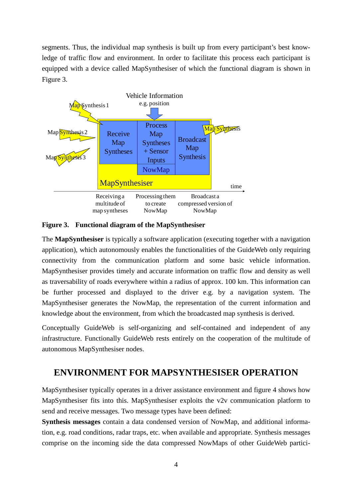segments. Thus, the individual map synthesis is built up from every participant's best knowledge of traffic flow and environment. In order to facilitate this process each participant is equipped with a device called MapSynthesiser of which the functional diagram is shown in Figure 3.



#### **Figure 3. Functional diagram of the MapSynthesiser**

The **MapSynthesiser** is typically a software application (executing together with a navigation application), which autonomously enables the functionalities of the GuideWeb only requiring connectivity from the communication platform and some basic vehicle information. MapSynthesiser provides timely and accurate information on traffic flow and density as well as traversability of roads everywhere within a radius of approx. 100 km. This information can be further processed and displayed to the driver e.g. by a navigation system. The MapSynthesiser generates the NowMap, the representation of the current information and knowledge about the environment, from which the broadcasted map synthesis is derived.

Conceptually GuideWeb is self-organizing and self-contained and independent of any infrastructure. Functionally GuideWeb rests entirely on the cooperation of the multitude of autonomous MapSynthesiser nodes.

## **ENVIRONMENT FOR MAPSYNTHESISER OPERATION**

MapSynthesiser typically operates in a driver assistance environment and figure 4 shows how MapSynthesiser fits into this. MapSynthesiser exploits the v2v communication platform to send and receive messages. Two message types have been defined:

**Synthesis messages** contain a data condensed version of NowMap, and additional information, e.g. road conditions, radar traps, etc. when available and appropriate. Synthesis messages comprise on the incoming side the data compressed NowMaps of other GuideWeb partici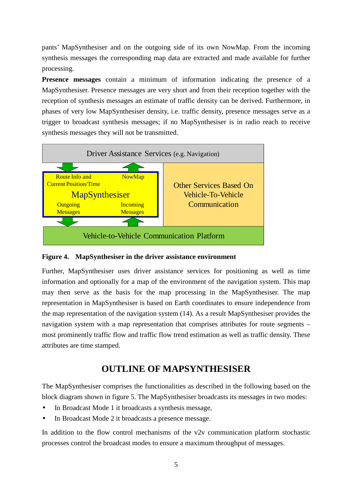pants' MapSynthesiser and on the outgoing side of its own NowMap. From the incoming synthesis messages the corresponding map data are extracted and made available for further processing.

**Presence messages** contain a minimum of information indicating the presence of a MapSynthesiser. Presence messages are very short and from their reception together with the reception of synthesis messages an estimate of traffic density can be derived. Furthermore, in phases of very low MapSynthesiser density, i.e. traffic density, presence messages serve as a trigger to broadcast synthesis messages; if no MapSynthesiser is in radio reach to receive synthesis messages they will not be transmitted.



**Figure 4. MapSynthesiser in the driver assistance environment** 

Further, MapSynthesiser uses driver assistance services for positioning as well as time information and optionally for a map of the environment of the navigation system. This map may then serve as the basis for the map processing in the MapSynthesiser. The map representation in MapSynthesiser is based on Earth coordinates to ensure independence from the map representation of the navigation system (14). As a result MapSynthesiser provides the navigation system with a map representation that comprises attributes for route segments – most prominently traffic flow and traffic flow trend estimation as well as traffic density. These attributes are time stamped.

# **OUTLINE OF MAPSYNTHESISER**

The MapSynthesiser comprises the functionalities as described in the following based on the block diagram shown in figure 5. The MapSynthesiser broadcasts its messages in two modes:

- In Broadcast Mode 1 it broadcasts a synthesis message,
- In Broadcast Mode 2 it broadcasts a presence message.

In addition to the flow control mechanisms of the v2v communication platform stochastic processes control the broadcast modes to ensure a maximum throughput of messages.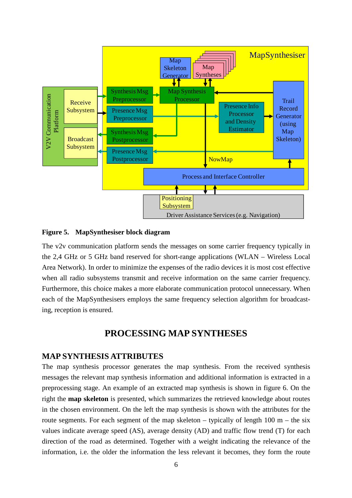

#### **Figure 5. MapSynthesiser block diagram**

The v2v communication platform sends the messages on some carrier frequency typically in the 2,4 GHz or 5 GHz band reserved for short-range applications (WLAN – Wireless Local Area Network). In order to minimize the expenses of the radio devices it is most cost effective when all radio subsystems transmit and receive information on the same carrier frequency. Furthermore, this choice makes a more elaborate communication protocol unnecessary. When each of the MapSynthesisers employs the same frequency selection algorithm for broadcasting, reception is ensured.

## **PROCESSING MAP SYNTHESES**

#### **MAP SYNTHESIS ATTRIBUTES**

The map synthesis processor generates the map synthesis. From the received synthesis messages the relevant map synthesis information and additional information is extracted in a preprocessing stage. An example of an extracted map synthesis is shown in figure 6. On the right the **map skeleton** is presented, which summarizes the retrieved knowledge about routes in the chosen environment. On the left the map synthesis is shown with the attributes for the route segments. For each segment of the map skeleton – typically of length  $100 \text{ m}$  – the six values indicate average speed (AS), average density (AD) and traffic flow trend (T) for each direction of the road as determined. Together with a weight indicating the relevance of the information, i.e. the older the information the less relevant it becomes, they form the route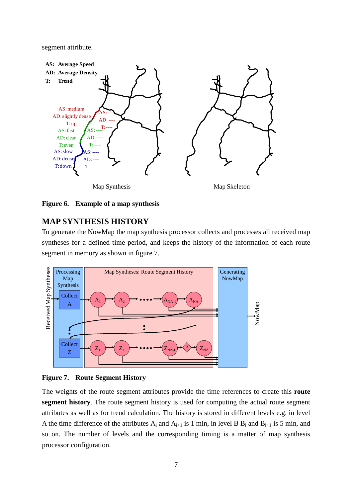segment attribute.



**Figure 6. Example of a map synthesis** 

## **MAP SYNTHESIS HISTORY**

To generate the NowMap the map synthesis processor collects and processes all received map syntheses for a defined time period, and keeps the history of the information of each route segment in memory as shown in figure 7.



#### **Figure 7. Route Segment History**

The weights of the route segment attributes provide the time references to create this **route segment history**. The route segment history is used for computing the actual route segment attributes as well as for trend calculation. The history is stored in different levels e.g. in level A the time difference of the attributes  $A_i$  and  $A_{i+1}$  is 1 min, in level B  $B_i$  and  $B_{i+1}$  is 5 min, and so on. The number of levels and the corresponding timing is a matter of map synthesis processor configuration.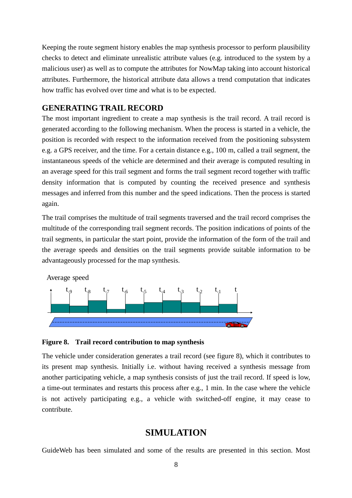Keeping the route segment history enables the map synthesis processor to perform plausibility checks to detect and eliminate unrealistic attribute values (e.g. introduced to the system by a malicious user) as well as to compute the attributes for NowMap taking into account historical attributes. Furthermore, the historical attribute data allows a trend computation that indicates how traffic has evolved over time and what is to be expected.

### **GENERATING TRAIL RECORD**

The most important ingredient to create a map synthesis is the trail record. A trail record is generated according to the following mechanism. When the process is started in a vehicle, the position is recorded with respect to the information received from the positioning subsystem e.g. a GPS receiver, and the time. For a certain distance e.g., 100 m, called a trail segment, the instantaneous speeds of the vehicle are determined and their average is computed resulting in an average speed for this trail segment and forms the trail segment record together with traffic density information that is computed by counting the received presence and synthesis messages and inferred from this number and the speed indications. Then the process is started again.

The trail comprises the multitude of trail segments traversed and the trail record comprises the multitude of the corresponding trail segment records. The position indications of points of the trail segments, in particular the start point, provide the information of the form of the trail and the average speeds and densities on the trail segments provide suitable information to be advantageously processed for the map synthesis.

Average speed t<sub>-9</sub> t<sub>-8</sub> t<sub>-7</sub> t<sub>-6</sub> t<sub>-5</sub> t<sub>-4</sub> t<sub>-3</sub> t<sub>-2</sub> t<sub>-1</sub> t  $-9$  t  $-8$  t  $-7$  t  $-6$  t  $-5$  t  $-4$  t  $-3$  t  $-2$  t -1

#### **Figure 8. Trail record contribution to map synthesis**

The vehicle under consideration generates a trail record (see figure 8), which it contributes to its present map synthesis. Initially i.e. without having received a synthesis message from another participating vehicle, a map synthesis consists of just the trail record. If speed is low, a time-out terminates and restarts this process after e.g., 1 min. In the case where the vehicle is not actively participating e.g., a vehicle with switched-off engine, it may cease to contribute.

### **SIMULATION**

GuideWeb has been simulated and some of the results are presented in this section. Most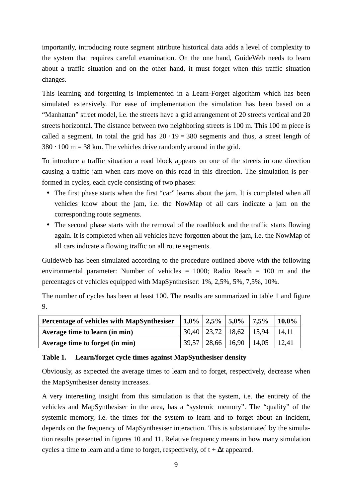importantly, introducing route segment attribute historical data adds a level of complexity to the system that requires careful examination. On the one hand, GuideWeb needs to learn about a traffic situation and on the other hand, it must forget when this traffic situation changes.

This learning and forgetting is implemented in a Learn-Forget algorithm which has been simulated extensively. For ease of implementation the simulation has been based on a "Manhattan" street model, i.e. the streets have a grid arrangement of 20 streets vertical and 20 streets horizontal. The distance between two neighboring streets is 100 m. This 100 m piece is called a segment. In total the grid has  $20 \cdot 19 = 380$  segments and thus, a street length of  $380 \cdot 100$  m = 38 km. The vehicles drive randomly around in the grid.

To introduce a traffic situation a road block appears on one of the streets in one direction causing a traffic jam when cars move on this road in this direction. The simulation is performed in cycles, each cycle consisting of two phases:

- The first phase starts when the first "car" learns about the jam. It is completed when all vehicles know about the jam, i.e. the NowMap of all cars indicate a jam on the corresponding route segments.
- The second phase starts with the removal of the roadblock and the traffic starts flowing again. It is completed when all vehicles have forgotten about the jam, i.e. the NowMap of all cars indicate a flowing traffic on all route segments.

GuideWeb has been simulated according to the procedure outlined above with the following environmental parameter: Number of vehicles = 1000; Radio Reach = 100 m and the percentages of vehicles equipped with MapSynthesiser: 1%, 2,5%, 5%, 7,5%, 10%.

The number of cycles has been at least 100. The results are summarized in table 1 and figure 9.

| Percentage of vehicles with MapSynthesiser |  | $\vert 1.0\% \vert 2.5\% \vert 5.0\% \vert 7.5\% \vert$ |                                         | $10.0\%$ |
|--------------------------------------------|--|---------------------------------------------------------|-----------------------------------------|----------|
| Average time to learn (in min)             |  |                                                         | $30,40$   23,72   18,62   15,94   14,11 |          |
| Average time to forget (in min)            |  |                                                         | $39,57$   28,66   16,90   14,05   12,41 |          |

### **Table 1. Learn/forget cycle times against MapSynthesiser density**

Obviously, as expected the average times to learn and to forget, respectively, decrease when the MapSynthesiser density increases.

A very interesting insight from this simulation is that the system, i.e. the entirety of the vehicles and MapSynthesiser in the area, has a "systemic memory". The "quality" of the systemic memory, i.e. the times for the system to learn and to forget about an incident, depends on the frequency of MapSynthesiser interaction. This is substantiated by the simulation results presented in figures 10 and 11. Relative frequency means in how many simulation cycles a time to learn and a time to forget, respectively, of  $t + \Delta t$  appeared.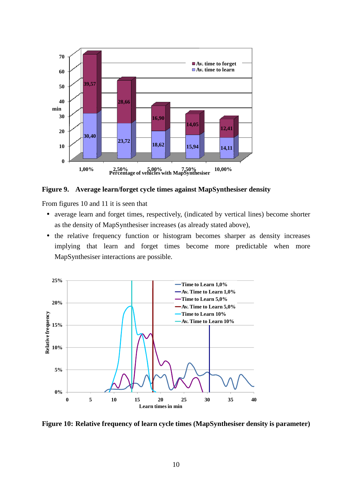

**Figure 9. Average learn/forget cycle times against MapSynthesiser density** 

From figures 10 and 11 it is seen that

- average learn and forget times, respectively, (indicated by vertical lines) become shorter as the density of MapSynthesiser increases (as already stated above),
- the relative frequency function or histogram becomes sharper as density increases implying that learn and forget times become more predictable when more MapSynthesiser interactions are possible.



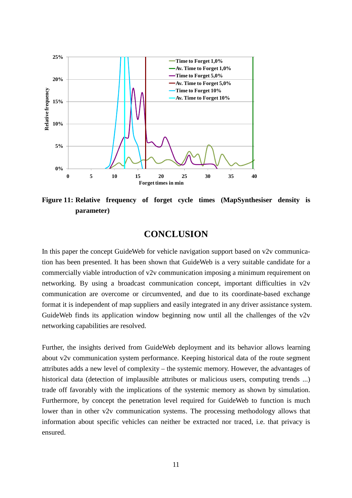

**Figure 11: Relative frequency of forget cycle times (MapSynthesiser density is parameter)** 

### **CONCLUSION**

In this paper the concept GuideWeb for vehicle navigation support based on v2v communication has been presented. It has been shown that GuideWeb is a very suitable candidate for a commercially viable introduction of v2v communication imposing a minimum requirement on networking. By using a broadcast communication concept, important difficulties in v2v communication are overcome or circumvented, and due to its coordinate-based exchange format it is independent of map suppliers and easily integrated in any driver assistance system. GuideWeb finds its application window beginning now until all the challenges of the v2v networking capabilities are resolved.

Further, the insights derived from GuideWeb deployment and its behavior allows learning about v2v communication system performance. Keeping historical data of the route segment attributes adds a new level of complexity – the systemic memory. However, the advantages of historical data (detection of implausible attributes or malicious users, computing trends ...) trade off favorably with the implications of the systemic memory as shown by simulation. Furthermore, by concept the penetration level required for GuideWeb to function is much lower than in other v2v communication systems. The processing methodology allows that information about specific vehicles can neither be extracted nor traced, i.e. that privacy is ensured.